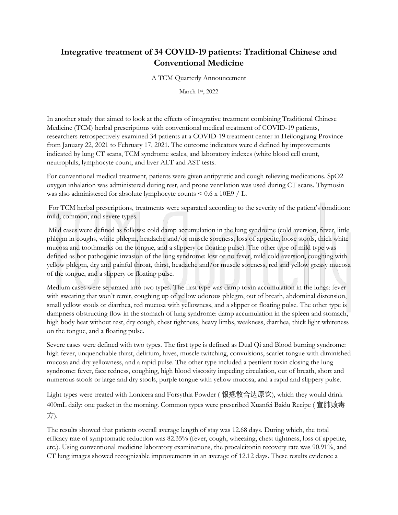## **Integrative treatment of 34 COVID-19 patients: Traditional Chinese and Conventional Medicine**

## A TCM Quarterly Announcement

March 1st, 2022

In another study that aimed to look at the effects of integrative treatment combining Traditional Chinese Medicine (TCM) herbal prescriptions with conventional medical treatment of COVID-19 patients, researchers retrospectively examined 34 patients at a COVID-19 treatment center in Heilongjiang Province from January 22, 2021 to February 17, 2021. The outcome indicators were d defined by improvements indicated by lung CT scans, TCM syndrome scales, and laboratory indexes (white blood cell count, neutrophils, lymphocyte count, and liver ALT and AST tests.

For conventional medical treatment, patients were given antipyretic and cough relieving medications. SpO2 oxygen inhalation was administered during rest, and prone ventilation was used during CT scans. Thymosin was also administered for absolute lymphocyte counts < 0.6 x 10E9 / L.

For TCM herbal prescriptions, treatments were separated according to the severity of the patient's condition: mild, common, and severe types.

Mild cases were defined as follows: cold damp accumulation in the lung syndrome (cold aversion, fever, little phlegm in coughs, white phlegm, headache and/or muscle soreness, loss of appetite, loose stools, thick white mucosa and toothmarks on the tongue, and a slippery or floating pulse). The other type of mild type was defined as hot pathogenic invasion of the lung syndrome: low or no fever, mild cold aversion, coughing with yellow phlegm, dry and painful throat, thirst, headache and/or muscle soreness, red and yellow greasy mucosa of the tongue, and a slippery or floating pulse.

Medium cases were separated into two types. The first type was damp toxin accumulation in the lungs: fever with sweating that won't remit, coughing up of yellow odorous phlegm, out of breath, abdominal distension, small yellow stools or diarrhea, red mucosa with yellowness, and a slipper or floating pulse. The other type is dampness obstructing flow in the stomach of lung syndrome: damp accumulation in the spleen and stomach, high body heat without rest, dry cough, chest tightness, heavy limbs, weakness, diarrhea, thick light whiteness on the tongue, and a floating pulse.

Severe cases were defined with two types. The first type is defined as Dual Qi and Blood burning syndrome: high fever, unquenchable thirst, delirium, hives, muscle twitching, convulsions, scarlet tongue with diminished mucosa and dry yellowness, and a rapid pulse. The other type included a pestilent toxin closing the lung syndrome: fever, face redness, coughing, high blood viscosity impeding circulation, out of breath, short and numerous stools or large and dry stools, purple tongue with yellow mucosa, and a rapid and slippery pulse.

Light types were treated with Lonicera and Forsythia Powder ( 银翘散合达原饮), which they would drink 400mL daily: one packet in the morning. Common types were prescribed Xuanfei Baidu Recipe ( 宣肺败毒 方).

The results showed that patients overall average length of stay was 12.68 days. During which, the total efficacy rate of symptomatic reduction was 82.35% (fever, cough, wheezing, chest tightness, loss of appetite, etc.). Using conventional medicine laboratory examinations, the procalcitonin recovery rate was 90.91%, and CT lung images showed recognizable improvements in an average of 12.12 days. These results evidence a